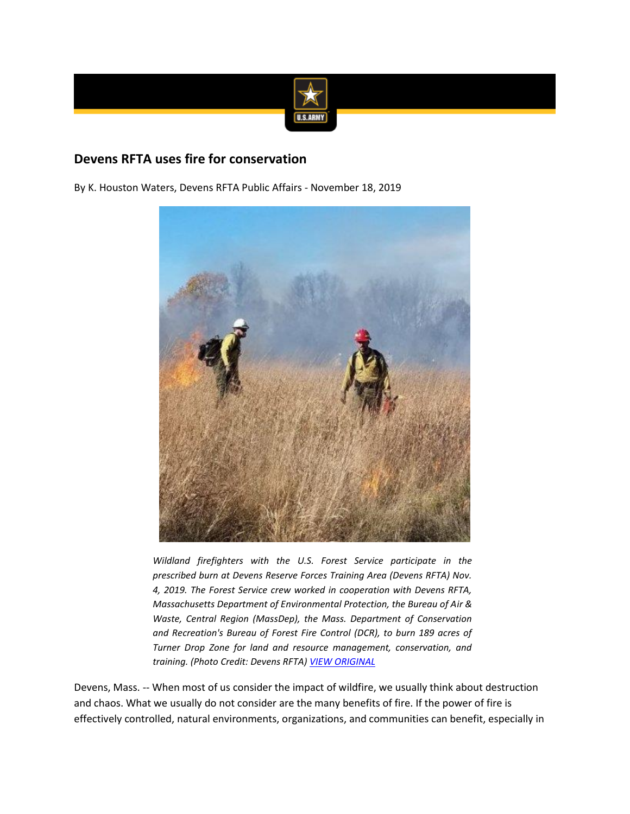

## **Devens RFTA uses fire for conservation**

By K. Houston Waters, Devens RFTA Public Affairs - November 18, 2019



*Wildland firefighters with the U.S. Forest Service participate in the prescribed burn at Devens Reserve Forces Training Area (Devens RFTA) Nov. 4, 2019. The Forest Service crew worked in cooperation with Devens RFTA, Massachusetts Department of Environmental Protection, the Bureau of Air & Waste, Central Region (MassDep), the Mass. Department of Conservation and Recreation's Bureau of Forest Fire Control (DCR), to burn 189 acres of Turner Drop Zone for land and resource management, conservation, and training. (Photo Credit: Devens RFTA) [VIEW ORIGINAL](https://www.army.mil/e2/c/images/2019/11/18/570915/original.jpg)*

Devens, Mass. -- When most of us consider the impact of wildfire, we usually think about destruction and chaos. What we usually do not consider are the many benefits of fire. If the power of fire is effectively controlled, natural environments, organizations, and communities can benefit, especially in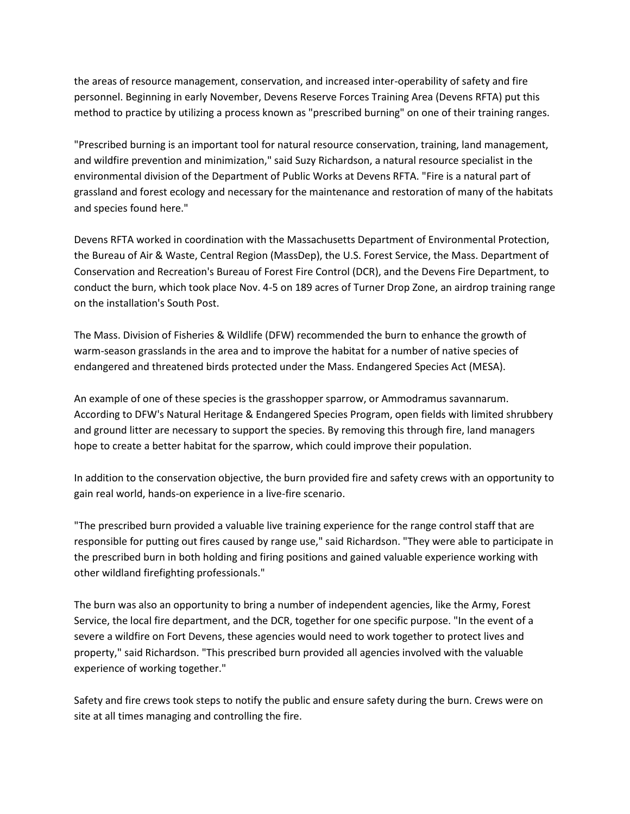the areas of resource management, conservation, and increased inter-operability of safety and fire personnel. Beginning in early November, Devens Reserve Forces Training Area (Devens RFTA) put this method to practice by utilizing a process known as "prescribed burning" on one of their training ranges.

"Prescribed burning is an important tool for natural resource conservation, training, land management, and wildfire prevention and minimization," said Suzy Richardson, a natural resource specialist in the environmental division of the Department of Public Works at Devens RFTA. "Fire is a natural part of grassland and forest ecology and necessary for the maintenance and restoration of many of the habitats and species found here."

Devens RFTA worked in coordination with the Massachusetts Department of Environmental Protection, the Bureau of Air & Waste, Central Region (MassDep), the U.S. Forest Service, the Mass. Department of Conservation and Recreation's Bureau of Forest Fire Control (DCR), and the Devens Fire Department, to conduct the burn, which took place Nov. 4-5 on 189 acres of Turner Drop Zone, an airdrop training range on the installation's South Post.

The Mass. Division of Fisheries & Wildlife (DFW) recommended the burn to enhance the growth of warm-season grasslands in the area and to improve the habitat for a number of native species of endangered and threatened birds protected under the Mass. Endangered Species Act (MESA).

An example of one of these species is the grasshopper sparrow, or Ammodramus savannarum. According to DFW's Natural Heritage & Endangered Species Program, open fields with limited shrubbery and ground litter are necessary to support the species. By removing this through fire, land managers hope to create a better habitat for the sparrow, which could improve their population.

In addition to the conservation objective, the burn provided fire and safety crews with an opportunity to gain real world, hands-on experience in a live-fire scenario.

"The prescribed burn provided a valuable live training experience for the range control staff that are responsible for putting out fires caused by range use," said Richardson. "They were able to participate in the prescribed burn in both holding and firing positions and gained valuable experience working with other wildland firefighting professionals."

The burn was also an opportunity to bring a number of independent agencies, like the Army, Forest Service, the local fire department, and the DCR, together for one specific purpose. "In the event of a severe a wildfire on Fort Devens, these agencies would need to work together to protect lives and property," said Richardson. "This prescribed burn provided all agencies involved with the valuable experience of working together."

Safety and fire crews took steps to notify the public and ensure safety during the burn. Crews were on site at all times managing and controlling the fire.